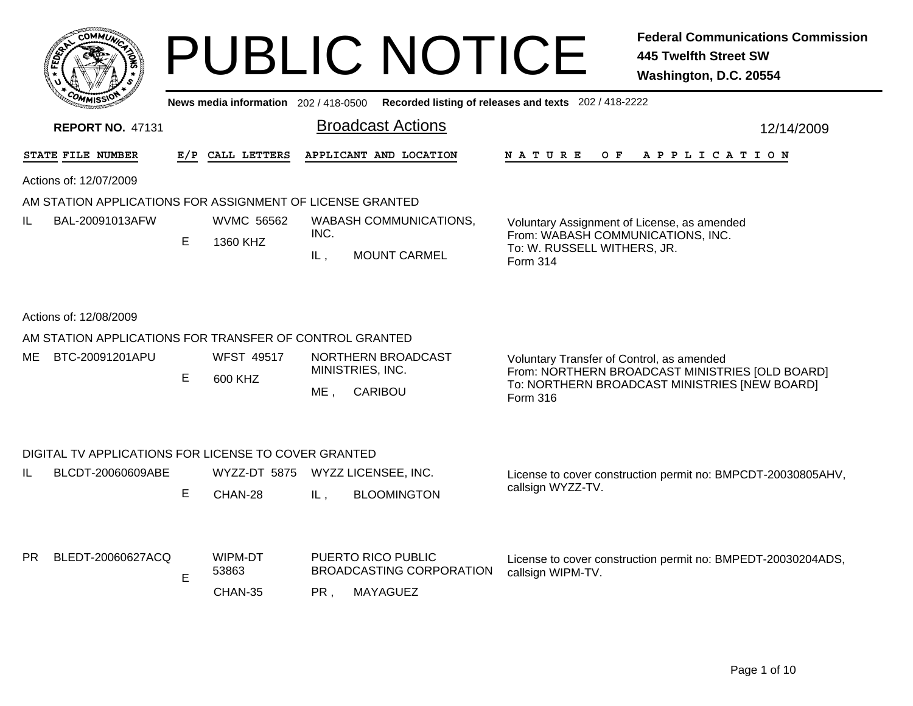| <b>COMMUX</b>                                             |     |                                  |             | <b>PUBLIC NOTICE</b>                                                                        |                                                                                                                             | <b>Federal Communications Commission</b><br><b>445 Twelfth Street SW</b><br>Washington, D.C. 20554 |
|-----------------------------------------------------------|-----|----------------------------------|-------------|---------------------------------------------------------------------------------------------|-----------------------------------------------------------------------------------------------------------------------------|----------------------------------------------------------------------------------------------------|
|                                                           |     |                                  |             | News media information 202 / 418-0500 Recorded listing of releases and texts 202 / 418-2222 |                                                                                                                             |                                                                                                    |
| <b>REPORT NO. 47131</b>                                   |     |                                  |             | <b>Broadcast Actions</b>                                                                    |                                                                                                                             | 12/14/2009                                                                                         |
| STATE FILE NUMBER                                         | E/P | CALL LETTERS                     |             | APPLICANT AND LOCATION                                                                      | <b>NATURE</b><br>O F                                                                                                        | A P P L I C A T I O N                                                                              |
| Actions of: 12/07/2009                                    |     |                                  |             |                                                                                             |                                                                                                                             |                                                                                                    |
| AM STATION APPLICATIONS FOR ASSIGNMENT OF LICENSE GRANTED |     |                                  |             |                                                                                             |                                                                                                                             |                                                                                                    |
| IL<br>BAL-20091013AFW                                     | E   | WVMC 56562<br>1360 KHZ           | INC.<br>IL, | <b>WABASH COMMUNICATIONS,</b><br><b>MOUNT CARMEL</b>                                        | Voluntary Assignment of License, as amended<br>From: WABASH COMMUNICATIONS, INC.<br>To: W. RUSSELL WITHERS, JR.<br>Form 314 |                                                                                                    |
| Actions of: 12/08/2009                                    |     |                                  |             |                                                                                             |                                                                                                                             |                                                                                                    |
| AM STATION APPLICATIONS FOR TRANSFER OF CONTROL GRANTED   |     |                                  |             |                                                                                             |                                                                                                                             |                                                                                                    |
| BTC-20091201APU<br>ME                                     | E.  | <b>WFST 49517</b><br>600 KHZ     | ME.         | NORTHERN BROADCAST<br>MINISTRIES, INC.<br><b>CARIBOU</b>                                    | Voluntary Transfer of Control, as amended<br>Form 316                                                                       | From: NORTHERN BROADCAST MINISTRIES [OLD BOARD]<br>To: NORTHERN BROADCAST MINISTRIES [NEW BOARD]   |
| DIGITAL TV APPLICATIONS FOR LICENSE TO COVER GRANTED      |     |                                  |             |                                                                                             |                                                                                                                             |                                                                                                    |
| IL<br>BLCDT-20060609ABE                                   |     | WYZZ-DT 5875 WYZZ LICENSEE, INC. |             |                                                                                             |                                                                                                                             | License to cover construction permit no: BMPCDT-20030805AHV,                                       |
|                                                           | E.  | CHAN-28                          | IL,         | <b>BLOOMINGTON</b>                                                                          | callsign WYZZ-TV.                                                                                                           |                                                                                                    |
| PR<br>BLEDT-20060627ACQ                                   | Е   | WIPM-DT<br>53863                 |             | PUERTO RICO PUBLIC<br>BROADCASTING CORPORATION                                              | callsign WIPM-TV.                                                                                                           | License to cover construction permit no: BMPEDT-20030204ADS,                                       |
|                                                           |     | CHAN-35                          | PR.         | <b>MAYAGUEZ</b>                                                                             |                                                                                                                             |                                                                                                    |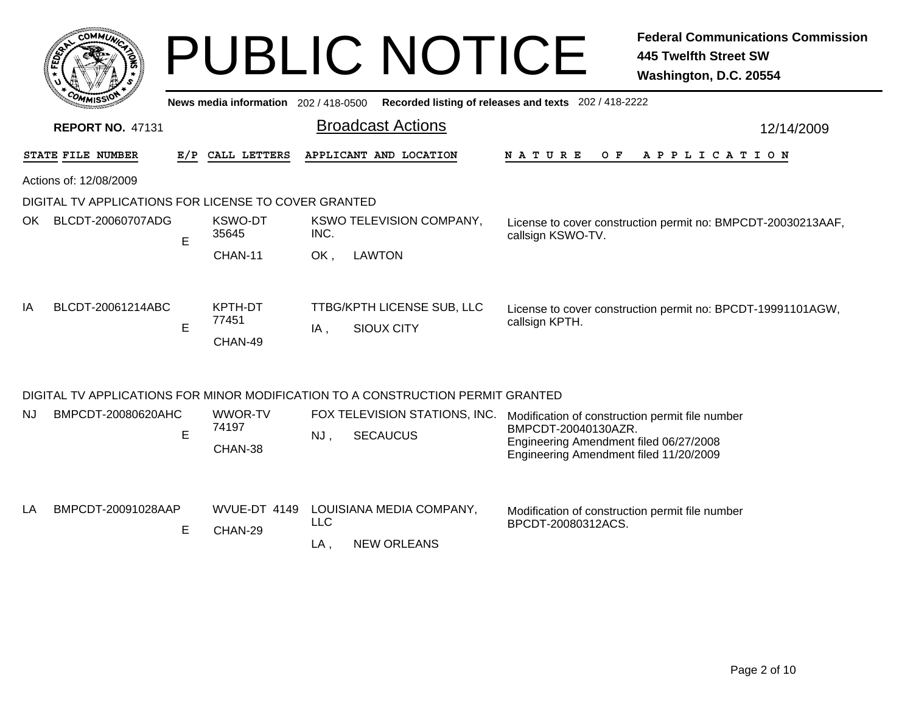|           |                                                                   |   |                                     | <b>PUBLIC NOTICE</b>                                                            | <b>Federal Communications Commission</b><br><b>445 Twelfth Street SW</b><br>Washington, D.C. 20554                                                         |  |  |  |  |  |  |
|-----------|-------------------------------------------------------------------|---|-------------------------------------|---------------------------------------------------------------------------------|------------------------------------------------------------------------------------------------------------------------------------------------------------|--|--|--|--|--|--|
|           |                                                                   |   | News media information 202/418-0500 |                                                                                 | Recorded listing of releases and texts 202 / 418-2222                                                                                                      |  |  |  |  |  |  |
|           | <b>Broadcast Actions</b><br><b>REPORT NO. 47131</b><br>12/14/2009 |   |                                     |                                                                                 |                                                                                                                                                            |  |  |  |  |  |  |
|           | STATE FILE NUMBER                                                 |   | E/P CALL LETTERS                    | APPLICANT AND LOCATION                                                          | N A T U R E<br>O F<br>A P P L I C A T I O N                                                                                                                |  |  |  |  |  |  |
|           | Actions of: 12/08/2009                                            |   |                                     |                                                                                 |                                                                                                                                                            |  |  |  |  |  |  |
|           | DIGITAL TV APPLICATIONS FOR LICENSE TO COVER GRANTED              |   |                                     |                                                                                 |                                                                                                                                                            |  |  |  |  |  |  |
|           | OK BLCDT-20060707ADG                                              | E | <b>KSWO-DT</b><br>35645             | <b>KSWO TELEVISION COMPANY,</b><br>INC.                                         | License to cover construction permit no: BMPCDT-20030213AAF,<br>callsign KSWO-TV.                                                                          |  |  |  |  |  |  |
|           |                                                                   |   | CHAN-11                             | OK.<br><b>LAWTON</b>                                                            |                                                                                                                                                            |  |  |  |  |  |  |
| IA        | BLCDT-20061214ABC                                                 | E | KPTH-DT<br>77451<br>CHAN-49         | TTBG/KPTH LICENSE SUB, LLC<br><b>SIOUX CITY</b><br>IA,                          | License to cover construction permit no: BPCDT-19991101AGW,<br>callsign KPTH.                                                                              |  |  |  |  |  |  |
|           |                                                                   |   |                                     | DIGITAL TV APPLICATIONS FOR MINOR MODIFICATION TO A CONSTRUCTION PERMIT GRANTED |                                                                                                                                                            |  |  |  |  |  |  |
| <b>NJ</b> | BMPCDT-20080620AHC                                                | Е | WWOR-TV<br>74197<br>CHAN-38         | FOX TELEVISION STATIONS, INC.<br><b>SECAUCUS</b><br>$NJ$ ,                      | Modification of construction permit file number<br>BMPCDT-20040130AZR.<br>Engineering Amendment filed 06/27/2008<br>Engineering Amendment filed 11/20/2009 |  |  |  |  |  |  |
| LA        | BMPCDT-20091028AAP                                                | Е | WVUE-DT 4149<br>CHAN-29             | LOUISIANA MEDIA COMPANY,<br><b>LLC</b><br><b>NEW ORLEANS</b><br>$LA$ ,          | Modification of construction permit file number<br>BPCDT-20080312ACS.                                                                                      |  |  |  |  |  |  |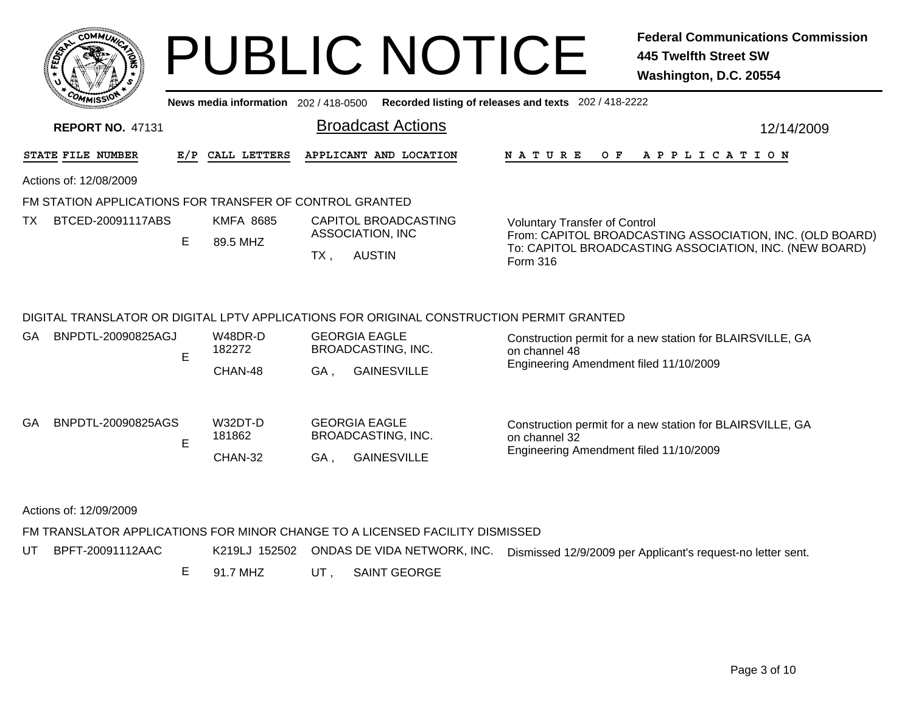|     |     | <b>MMUNA</b><br>CO <sub>1</sub> | ¢. |        |
|-----|-----|---------------------------------|----|--------|
| ឆ្ន |     |                                 |    | 2<br>磊 |
|     |     |                                 |    |        |
|     | COM | MISS <sup>\</sup><br>mua        |    |        |

# PUBLIC NOTICE **Federal Communications Commission 445 Twelfth Street SW Washington, D.C. 20554**

**News media information** 202 / 418-0500**Recorded listing of releases and texts** 202 / 418-2222

| 12/14/2009                                               |  |  |  |
|----------------------------------------------------------|--|--|--|
|                                                          |  |  |  |
|                                                          |  |  |  |
|                                                          |  |  |  |
| <b>Voluntary Transfer of Control</b>                     |  |  |  |
| From: CAPITOL BROADCASTING ASSOCIATION, INC. (OLD BOARD) |  |  |  |
| To: CAPITOL BROADCASTING ASSOCIATION, INC. (NEW BOARD)   |  |  |  |
|                                                          |  |  |  |
|                                                          |  |  |  |

# DIGITAL TRANSLATOR OR DIGITAL LPTV APPLICATIONS FOR ORIGINAL CONSTRUCTION PERMIT GRANTED

| GA | BNPDTL-20090825AGJ      | W48DR-D<br>182272<br>CHAN-48 | <b>GEORGIA EAGLE</b><br>BROADCASTING, INC.<br><b>GAINESVILLE</b><br>GA . | Construction permit for a new station for BLAIRSVILLE, GA<br>on channel 48<br>Engineering Amendment filed 11/10/2009 |
|----|-------------------------|------------------------------|--------------------------------------------------------------------------|----------------------------------------------------------------------------------------------------------------------|
| GA | BNPDTL-20090825AGS<br>E | W32DT-D<br>181862<br>CHAN-32 | <b>GEORGIA EAGLE</b><br>BROADCASTING, INC.<br><b>GAINESVILLE</b><br>GA,  | Construction permit for a new station for BLAIRSVILLE, GA<br>on channel 32<br>Engineering Amendment filed 11/10/2009 |

Actions of: 12/09/2009

# FM TRANSLATOR APPLICATIONS FOR MINOR CHANGE TO A LICENSED FACILITY DISMISSED

UT BPFT-20091112AACK219LJ 152502 ONDAS DE VIDA NETWORK, INC. Dismissed 12/9/2009 per Applicant's request-no letter sent.

> E 91.7 MHZUT , SAINT GEORGE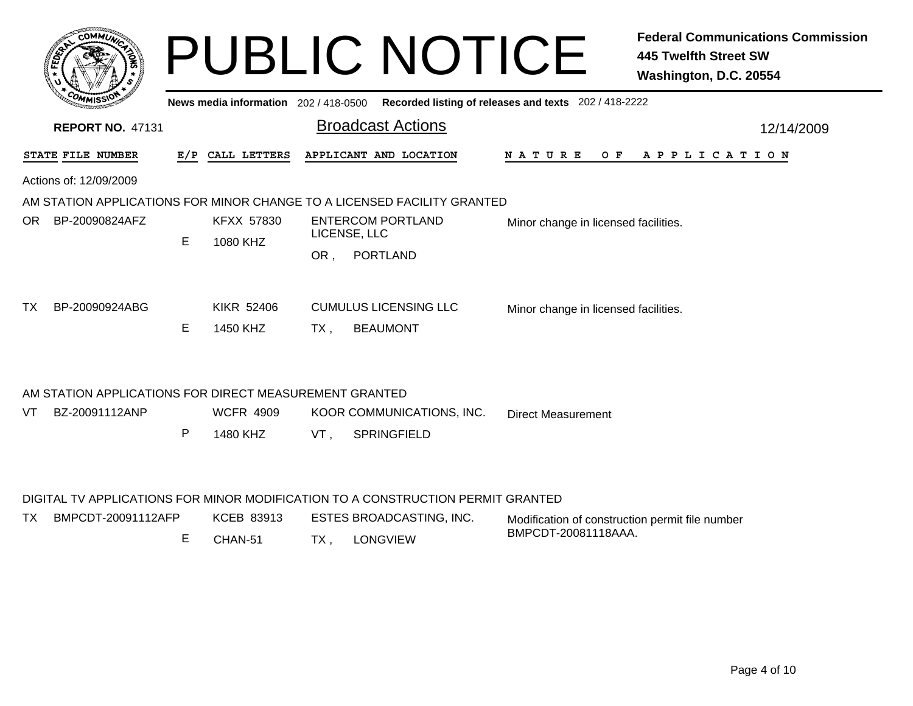| COMMUL                 |                         |    |                                                        |              | <b>PUBLIC NOTICE</b>                                                    |                                                       | <b>Federal Communications Commission</b><br><b>445 Twelfth Street SW</b><br>Washington, D.C. 20554 |
|------------------------|-------------------------|----|--------------------------------------------------------|--------------|-------------------------------------------------------------------------|-------------------------------------------------------|----------------------------------------------------------------------------------------------------|
|                        |                         |    | News media information 202 / 418-0500                  |              |                                                                         | Recorded listing of releases and texts 202 / 418-2222 |                                                                                                    |
|                        | <b>REPORT NO. 47131</b> |    |                                                        |              | <b>Broadcast Actions</b>                                                |                                                       | 12/14/2009                                                                                         |
| STATE FILE NUMBER      |                         |    | E/P CALL LETTERS                                       |              | APPLICANT AND LOCATION                                                  | N A T U R E                                           | O F<br>A P P L I C A T I O N                                                                       |
| Actions of: 12/09/2009 |                         |    |                                                        |              |                                                                         |                                                       |                                                                                                    |
|                        |                         |    |                                                        |              | AM STATION APPLICATIONS FOR MINOR CHANGE TO A LICENSED FACILITY GRANTED |                                                       |                                                                                                    |
| BP-20090824AFZ<br>OR   |                         |    | <b>KFXX 57830</b>                                      |              | ENTERCOM PORTLAND                                                       | Minor change in licensed facilities.                  |                                                                                                    |
|                        |                         | E. | 1080 KHZ                                               | LICENSE, LLC |                                                                         |                                                       |                                                                                                    |
|                        |                         |    |                                                        | OR.          | PORTLAND                                                                |                                                       |                                                                                                    |
| BP-20090924ABG<br>TX.  |                         |    | <b>KIKR 52406</b>                                      |              | <b>CUMULUS LICENSING LLC</b>                                            | Minor change in licensed facilities.                  |                                                                                                    |
|                        |                         | E. | 1450 KHZ                                               | TX.          | <b>BEAUMONT</b>                                                         |                                                       |                                                                                                    |
|                        |                         |    |                                                        |              |                                                                         |                                                       |                                                                                                    |
|                        |                         |    | AM STATION APPLICATIONS FOR DIRECT MEASUREMENT GRANTED |              |                                                                         |                                                       |                                                                                                    |
| BZ-20091112ANP<br>VT   |                         |    | <b>WCFR 4909</b>                                       |              | KOOR COMMUNICATIONS, INC.                                               | <b>Direct Measurement</b>                             |                                                                                                    |
|                        |                         | P  | 1480 KHZ                                               | VT.          | <b>SPRINGFIELD</b>                                                      |                                                       |                                                                                                    |

# DIGITAL TV APPLICATIONS FOR MINOR MODIFICATION TO A CONSTRUCTION PERMIT GRANTED

| TX | BMPCDT-20091112AFP | KCEB 83913 |    | ESTES BROADCASTING, INC. | Modification of construction permit file number |
|----|--------------------|------------|----|--------------------------|-------------------------------------------------|
|    |                    | CHAN-51    | TX | LONGVIEW                 | BMPCDT-20081118AAA.                             |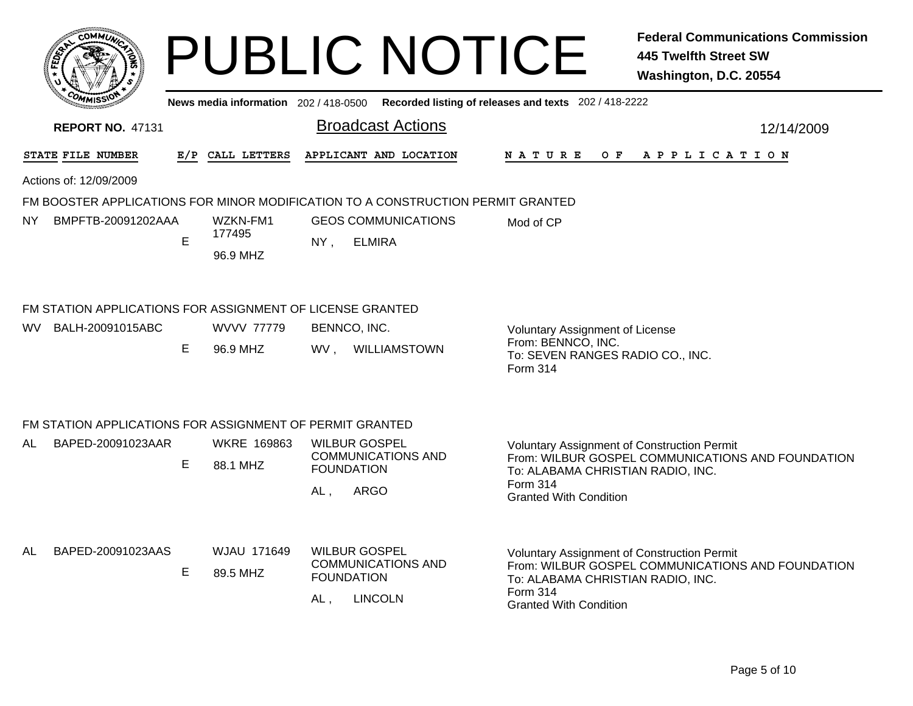|     |                                                                               |   |                                       |                                                  | <b>PUBLIC NOTICE</b>                                                            |                                                                                                                                      | <b>Federal Communications Commission</b><br><b>445 Twelfth Street SW</b><br>Washington, D.C. 20554 |
|-----|-------------------------------------------------------------------------------|---|---------------------------------------|--------------------------------------------------|---------------------------------------------------------------------------------|--------------------------------------------------------------------------------------------------------------------------------------|----------------------------------------------------------------------------------------------------|
|     |                                                                               |   | News media information 202 / 418-0500 |                                                  |                                                                                 | Recorded listing of releases and texts 202 / 418-2222                                                                                |                                                                                                    |
|     | <b>REPORT NO. 47131</b>                                                       |   |                                       |                                                  | <b>Broadcast Actions</b>                                                        |                                                                                                                                      | 12/14/2009                                                                                         |
|     | STATE FILE NUMBER                                                             |   | E/P CALL LETTERS                      |                                                  | APPLICANT AND LOCATION                                                          | N A T U R E                                                                                                                          | OF APPLICATION                                                                                     |
|     | Actions of: 12/09/2009                                                        |   |                                       |                                                  |                                                                                 |                                                                                                                                      |                                                                                                    |
|     |                                                                               |   |                                       |                                                  | FM BOOSTER APPLICATIONS FOR MINOR MODIFICATION TO A CONSTRUCTION PERMIT GRANTED |                                                                                                                                      |                                                                                                    |
| NY. | BMPFTB-20091202AAA                                                            | E | WZKN-FM1<br>177495<br>96.9 MHZ        | NY,                                              | <b>GEOS COMMUNICATIONS</b><br><b>ELMIRA</b>                                     | Mod of CP                                                                                                                            |                                                                                                    |
| WV. | FM STATION APPLICATIONS FOR ASSIGNMENT OF LICENSE GRANTED<br>BALH-20091015ABC |   | <b>WVVV 77779</b>                     | BENNCO, INC.                                     |                                                                                 | <b>Voluntary Assignment of License</b>                                                                                               |                                                                                                    |
|     |                                                                               | Е | 96.9 MHZ                              |                                                  | WV, WILLIAMSTOWN                                                                | From: BENNCO, INC.<br>To: SEVEN RANGES RADIO CO., INC.<br>Form 314                                                                   |                                                                                                    |
|     | FM STATION APPLICATIONS FOR ASSIGNMENT OF PERMIT GRANTED                      |   |                                       |                                                  |                                                                                 |                                                                                                                                      |                                                                                                    |
| AL. | BAPED-20091023AAR                                                             |   | <b>WKRE 169863</b>                    | <b>WILBUR GOSPEL</b>                             |                                                                                 | <b>Voluntary Assignment of Construction Permit</b>                                                                                   |                                                                                                    |
|     |                                                                               | Е | 88.1 MHZ                              | <b>FOUNDATION</b>                                | <b>COMMUNICATIONS AND</b>                                                       | To: ALABAMA CHRISTIAN RADIO, INC.                                                                                                    | From: WILBUR GOSPEL COMMUNICATIONS AND FOUNDATION                                                  |
|     |                                                                               |   |                                       | AL,                                              | ARGO                                                                            | <b>Form 314</b><br><b>Granted With Condition</b>                                                                                     |                                                                                                    |
| AL  | BAPED-20091023AAS                                                             | Е | WJAU 171649<br>89.5 MHZ               | <b>WILBUR GOSPEL</b><br><b>FOUNDATION</b><br>AL, | <b>COMMUNICATIONS AND</b><br><b>LINCOLN</b>                                     | <b>Voluntary Assignment of Construction Permit</b><br>To: ALABAMA CHRISTIAN RADIO, INC.<br>Form 314<br><b>Granted With Condition</b> | From: WILBUR GOSPEL COMMUNICATIONS AND FOUNDATION                                                  |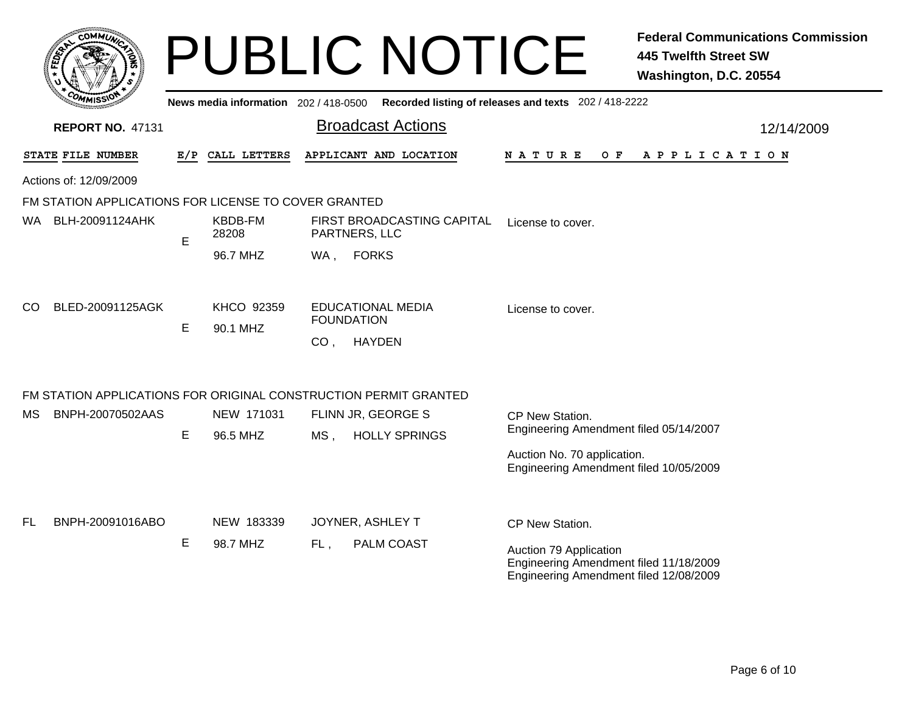|     | <b>сОММИ</b>                                                     |     |                                       |                 | <b>PUBLIC NOTICE</b>                          |                                                                                                            | <b>Federal Communications Commission</b><br><b>445 Twelfth Street SW</b><br>Washington, D.C. 20554 |  |
|-----|------------------------------------------------------------------|-----|---------------------------------------|-----------------|-----------------------------------------------|------------------------------------------------------------------------------------------------------------|----------------------------------------------------------------------------------------------------|--|
|     |                                                                  |     | News media information 202 / 418-0500 |                 |                                               | Recorded listing of releases and texts 202 / 418-2222                                                      |                                                                                                    |  |
|     | <b>REPORT NO. 47131</b>                                          |     |                                       |                 | <b>Broadcast Actions</b>                      |                                                                                                            | 12/14/2009                                                                                         |  |
|     | STATE FILE NUMBER                                                | E/P | CALL LETTERS                          |                 | APPLICANT AND LOCATION                        | N A T U R E<br>O F                                                                                         | A P P L I C A T I O N                                                                              |  |
|     | Actions of: 12/09/2009                                           |     |                                       |                 |                                               |                                                                                                            |                                                                                                    |  |
|     | FM STATION APPLICATIONS FOR LICENSE TO COVER GRANTED             |     |                                       |                 |                                               |                                                                                                            |                                                                                                    |  |
|     | WA BLH-20091124AHK                                               | E   | KBDB-FM<br>28208                      |                 | FIRST BROADCASTING CAPITAL<br>PARTNERS, LLC   | License to cover.                                                                                          |                                                                                                    |  |
|     |                                                                  |     | 96.7 MHZ                              | WA,             | <b>FORKS</b>                                  |                                                                                                            |                                                                                                    |  |
| CO  | BLED-20091125AGK                                                 | E   | KHCO 92359<br>90.1 MHZ                |                 | <b>EDUCATIONAL MEDIA</b><br><b>FOUNDATION</b> | License to cover.                                                                                          |                                                                                                    |  |
|     |                                                                  |     |                                       | CO <sub>1</sub> | <b>HAYDEN</b>                                 |                                                                                                            |                                                                                                    |  |
|     | FM STATION APPLICATIONS FOR ORIGINAL CONSTRUCTION PERMIT GRANTED |     |                                       |                 |                                               |                                                                                                            |                                                                                                    |  |
| МS  | BNPH-20070502AAS                                                 |     | NEW 171031                            |                 | FLINN JR, GEORGE S                            | CP New Station.                                                                                            |                                                                                                    |  |
|     |                                                                  | E   | 96.5 MHZ                              | MS .            | <b>HOLLY SPRINGS</b>                          | Engineering Amendment filed 05/14/2007                                                                     |                                                                                                    |  |
|     |                                                                  |     |                                       |                 |                                               | Auction No. 70 application.<br>Engineering Amendment filed 10/05/2009                                      |                                                                                                    |  |
| FL. | BNPH-20091016ABO                                                 |     | NEW 183339                            |                 | JOYNER, ASHLEY T                              | CP New Station.                                                                                            |                                                                                                    |  |
|     |                                                                  | E   | 98.7 MHZ                              | FL,             | PALM COAST                                    | Auction 79 Application<br>Engineering Amendment filed 11/18/2009<br>Engineering Amendment filed 12/08/2009 |                                                                                                    |  |
|     |                                                                  |     |                                       |                 |                                               |                                                                                                            |                                                                                                    |  |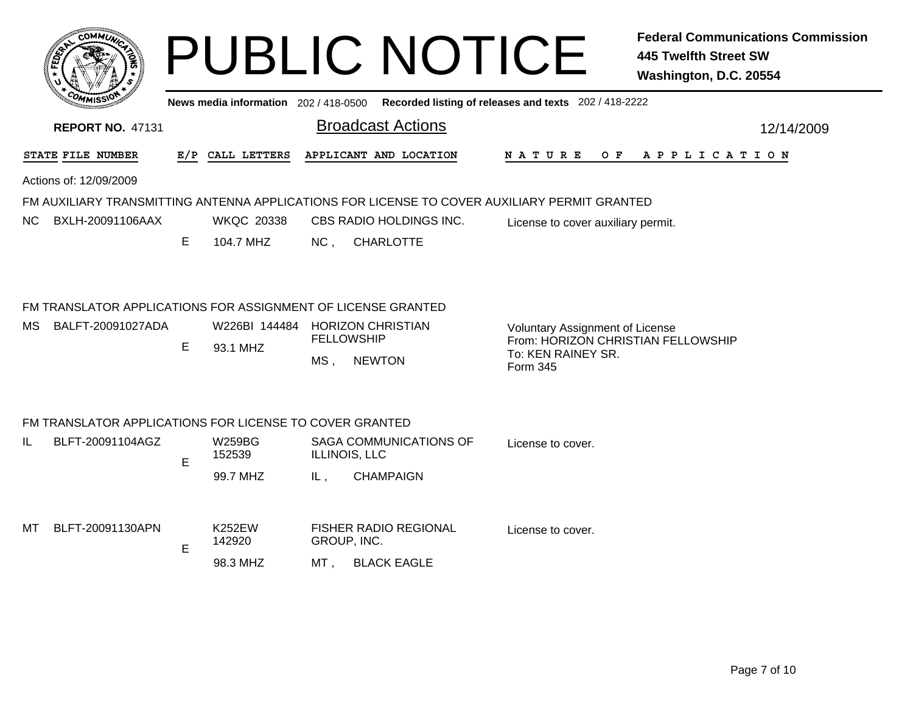|     | <b>COMMIT</b>                                                                     |     |                                |                      | <b>PUBLIC NOTICE</b>                                                                         |                                                                                                                | <b>Federal Communications Commission</b><br><b>445 Twelfth Street SW</b><br>Washington, D.C. 20554 |
|-----|-----------------------------------------------------------------------------------|-----|--------------------------------|----------------------|----------------------------------------------------------------------------------------------|----------------------------------------------------------------------------------------------------------------|----------------------------------------------------------------------------------------------------|
|     |                                                                                   |     |                                |                      | News media information 202 / 418-0500 Recorded listing of releases and texts 202 / 418-2222  |                                                                                                                |                                                                                                    |
|     | <b>REPORT NO. 47131</b>                                                           |     |                                |                      | <b>Broadcast Actions</b>                                                                     |                                                                                                                | 12/14/2009                                                                                         |
|     | STATE FILE NUMBER                                                                 | E/P | CALL LETTERS                   |                      | APPLICANT AND LOCATION                                                                       | <b>NATURE</b><br>O F                                                                                           | A P P L I C A T I O N                                                                              |
|     | Actions of: 12/09/2009                                                            |     |                                |                      |                                                                                              |                                                                                                                |                                                                                                    |
|     |                                                                                   |     |                                |                      | FM AUXILIARY TRANSMITTING ANTENNA APPLICATIONS FOR LICENSE TO COVER AUXILIARY PERMIT GRANTED |                                                                                                                |                                                                                                    |
| NC. | BXLH-20091106AAX                                                                  | E.  | <b>WKQC 20338</b><br>104.7 MHZ | NC <sub>1</sub>      | CBS RADIO HOLDINGS INC.<br><b>CHARLOTTE</b>                                                  | License to cover auxiliary permit.                                                                             |                                                                                                    |
| MS. | FM TRANSLATOR APPLICATIONS FOR ASSIGNMENT OF LICENSE GRANTED<br>BALFT-20091027ADA | E.  | W226BI 144484<br>93.1 MHZ      | MS,                  | <b>HORIZON CHRISTIAN</b><br><b>FELLOWSHIP</b><br><b>NEWTON</b>                               | <b>Voluntary Assignment of License</b><br>From: HORIZON CHRISTIAN FELLOWSHIP<br>To: KEN RAINEY SR.<br>Form 345 |                                                                                                    |
|     | FM TRANSLATOR APPLICATIONS FOR LICENSE TO COVER GRANTED                           |     |                                |                      |                                                                                              |                                                                                                                |                                                                                                    |
| IL  | BLFT-20091104AGZ                                                                  | E   | <b>W259BG</b><br>152539        | <b>ILLINOIS, LLC</b> | SAGA COMMUNICATIONS OF                                                                       | License to cover.                                                                                              |                                                                                                    |
|     |                                                                                   |     | 99.7 MHZ                       | IL,                  | <b>CHAMPAIGN</b>                                                                             |                                                                                                                |                                                                                                    |
| MТ  | BLFT-20091130APN                                                                  | Е   | <b>K252EW</b><br>142920        | GROUP, INC.          | <b>FISHER RADIO REGIONAL</b>                                                                 | License to cover.                                                                                              |                                                                                                    |
|     |                                                                                   |     | 98.3 MHZ                       | MT .                 | <b>BLACK EAGLE</b>                                                                           |                                                                                                                |                                                                                                    |
|     |                                                                                   |     |                                |                      |                                                                                              |                                                                                                                |                                                                                                    |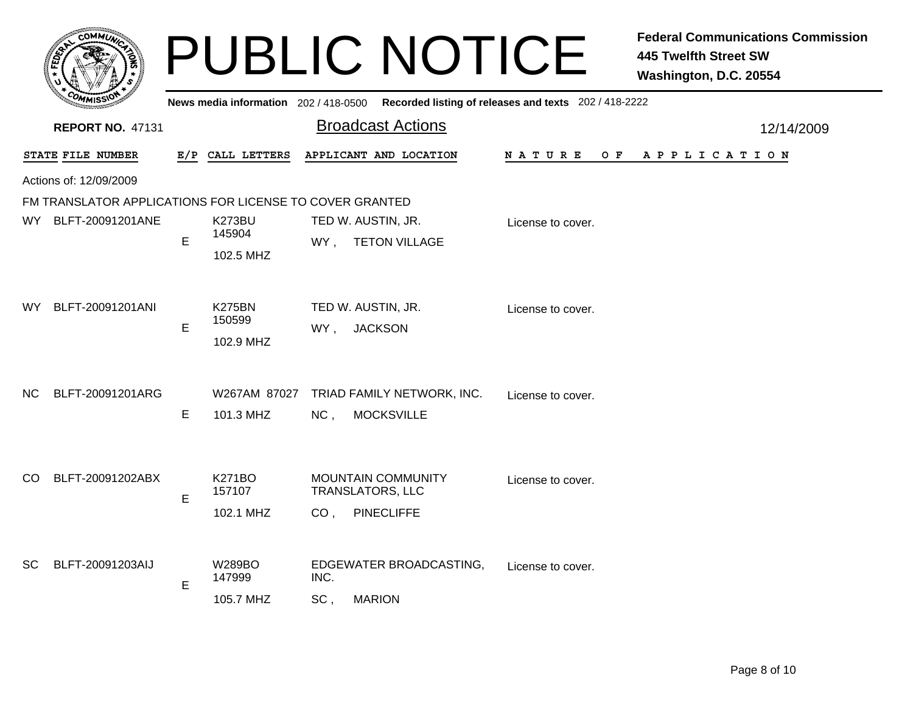|           |                                                         |     |                                      | <b>PUBLIC NOTICE</b>                                                                         |                                                       | <b>Federal Communications Commission</b><br><b>445 Twelfth Street SW</b><br>Washington, D.C. 20554 |
|-----------|---------------------------------------------------------|-----|--------------------------------------|----------------------------------------------------------------------------------------------|-------------------------------------------------------|----------------------------------------------------------------------------------------------------|
|           |                                                         |     | News media information 202/418-0500  |                                                                                              | Recorded listing of releases and texts 202 / 418-2222 |                                                                                                    |
|           | <b>REPORT NO. 47131</b>                                 |     |                                      | <b>Broadcast Actions</b>                                                                     |                                                       | 12/14/2009                                                                                         |
|           | STATE FILE NUMBER                                       | E/P | CALL LETTERS                         | APPLICANT AND LOCATION                                                                       | N A T U R E<br>O F                                    | A P P L I C A T I O N                                                                              |
|           | Actions of: 12/09/2009                                  |     |                                      |                                                                                              |                                                       |                                                                                                    |
|           | FM TRANSLATOR APPLICATIONS FOR LICENSE TO COVER GRANTED |     |                                      |                                                                                              |                                                       |                                                                                                    |
| WY l      | BLFT-20091201ANE                                        | E   | K273BU<br>145904<br>102.5 MHZ        | TED W. AUSTIN, JR.<br><b>TETON VILLAGE</b><br>WY,                                            | License to cover.                                     |                                                                                                    |
| WY.       | BLFT-20091201ANI                                        | E   | <b>K275BN</b><br>150599<br>102.9 MHZ | TED W. AUSTIN, JR.<br><b>JACKSON</b><br>WY,                                                  | License to cover.                                     |                                                                                                    |
| NC.       | BLFT-20091201ARG                                        | E   | W267AM 87027<br>101.3 MHZ            | TRIAD FAMILY NETWORK, INC.<br>NC <sub>1</sub><br><b>MOCKSVILLE</b>                           | License to cover.                                     |                                                                                                    |
| CO.       | BLFT-20091202ABX                                        | E   | <b>K271BO</b><br>157107<br>102.1 MHZ | <b>MOUNTAIN COMMUNITY</b><br><b>TRANSLATORS, LLC</b><br><b>PINECLIFFE</b><br>CO <sub>1</sub> | License to cover.                                     |                                                                                                    |
| <b>SC</b> | BLFT-20091203AIJ                                        | E   | <b>W289BO</b><br>147999<br>105.7 MHZ | EDGEWATER BROADCASTING,<br>INC.<br><b>MARION</b><br>SC,                                      | License to cover.                                     |                                                                                                    |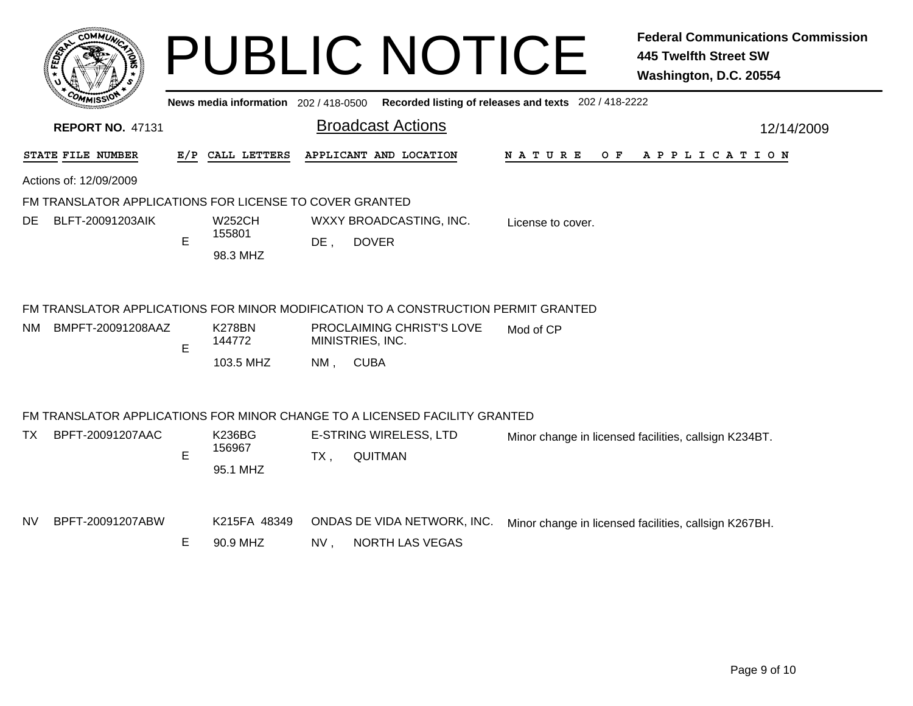|     | <b>COMMUT</b>                                           |     |                                     |        | <b>PUBLIC NOTICE</b>                                                               |                                                       | <b>Federal Communications Commission</b><br><b>445 Twelfth Street SW</b><br>Washington, D.C. 20554 |
|-----|---------------------------------------------------------|-----|-------------------------------------|--------|------------------------------------------------------------------------------------|-------------------------------------------------------|----------------------------------------------------------------------------------------------------|
|     |                                                         |     | News media information 202/418-0500 |        |                                                                                    | Recorded listing of releases and texts 202 / 418-2222 |                                                                                                    |
|     | <b>REPORT NO. 47131</b>                                 |     |                                     |        | <b>Broadcast Actions</b>                                                           |                                                       | 12/14/2009                                                                                         |
|     | STATE FILE NUMBER                                       | E/P | CALL LETTERS                        |        | APPLICANT AND LOCATION                                                             | N A T U R E<br>O F                                    | A P P L I C A T I O N                                                                              |
|     | Actions of: 12/09/2009                                  |     |                                     |        |                                                                                    |                                                       |                                                                                                    |
|     | FM TRANSLATOR APPLICATIONS FOR LICENSE TO COVER GRANTED |     |                                     |        |                                                                                    |                                                       |                                                                                                    |
| DE. | BLFT-20091203AIK                                        | E   | <b>W252CH</b><br>155801<br>98.3 MHZ | $DE$ , | WXXY BROADCASTING, INC.<br><b>DOVER</b>                                            | License to cover.                                     |                                                                                                    |
|     |                                                         |     |                                     |        | FM TRANSLATOR APPLICATIONS FOR MINOR MODIFICATION TO A CONSTRUCTION PERMIT GRANTED |                                                       |                                                                                                    |
| NM. | BMPFT-20091208AAZ                                       |     | <b>K278BN</b><br>144772             |        | PROCLAIMING CHRIST'S LOVE<br>MINISTRIES, INC.                                      | Mod of CP                                             |                                                                                                    |
|     |                                                         | E   | 103.5 MHZ                           | $NM$ . | <b>CUBA</b>                                                                        |                                                       |                                                                                                    |
|     |                                                         |     |                                     |        | FM TRANSLATOR APPLICATIONS FOR MINOR CHANGE TO A LICENSED FACILITY GRANTED         |                                                       |                                                                                                    |
| TX. | BPFT-20091207AAC                                        | E   | K236BG<br>156967<br>95.1 MHZ        | $TX$ , | E-STRING WIRELESS, LTD<br><b>QUITMAN</b>                                           |                                                       | Minor change in licensed facilities, callsign K234BT.                                              |
| NV. | BPFT-20091207ABW                                        | E   | K215FA 48349<br>90.9 MHZ            | NV.    | ONDAS DE VIDA NETWORK, INC.<br><b>NORTH LAS VEGAS</b>                              |                                                       | Minor change in licensed facilities, callsign K267BH.                                              |